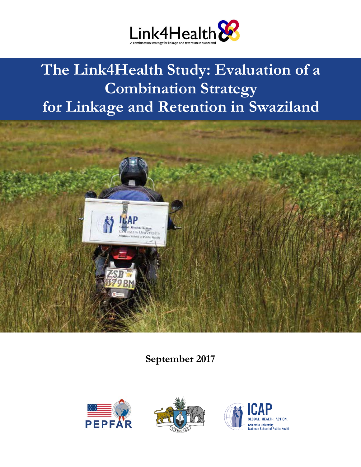

# **The Link4Health Study: Evaluation of a Combination Strategy for Linkage and Retention in Swaziland**



# **September 2017**





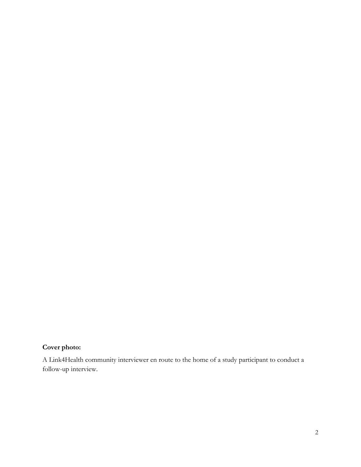#### **Cover photo:**

A Link4Health community interviewer en route to the home of a study participant to conduct a follow-up interview.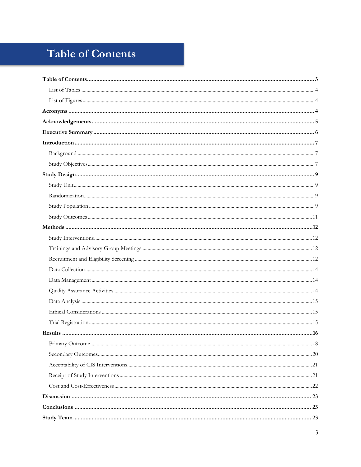# **Table of Contents**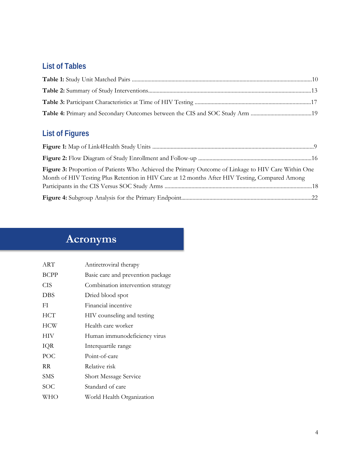### <span id="page-3-0"></span>**List of Tables**

# <span id="page-3-1"></span>**List of Figures**

| Figure 3: Proportion of Patients Who Achieved the Primary Outcome of Linkage to HIV Care Within One<br>Month of HIV Testing Plus Retention in HIV Care at 12 months After HIV Testing, Compared Among |  |
|-------------------------------------------------------------------------------------------------------------------------------------------------------------------------------------------------------|--|
|                                                                                                                                                                                                       |  |
|                                                                                                                                                                                                       |  |

# **Acronyms**

| ART         | Antiretroviral therapy            |
|-------------|-----------------------------------|
| <b>BCPP</b> | Basic care and prevention package |
| CIS         | Combination intervention strategy |
| <b>DBS</b>  | Dried blood spot                  |
| FI          | Financial incentive               |
| <b>HCT</b>  | HIV counseling and testing        |
| <b>HCW</b>  | Health care worker                |
| HIV         | Human immunodeficiency virus      |
| IQR         | Interquartile range               |
| POC         | Point-of-care                     |
| RR          | Relative risk                     |
| <b>SMS</b>  | <b>Short Message Service</b>      |
| SOC         | Standard of care                  |
| WНO         | World Health Organization         |
|             |                                   |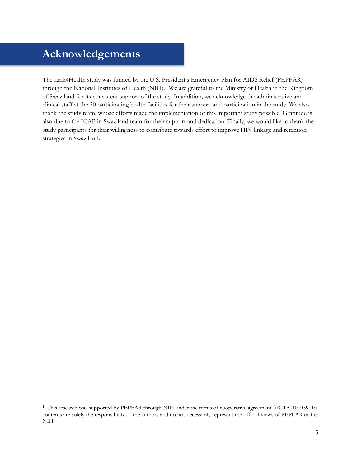### **Acknowledgements**

The Link4Health study was funded by the U.S. President's Emergency Plan for AIDS Relief (PEPFAR) through the National Institutes of Health (NIH).<sup>[1](#page-4-0)</sup> We are grateful to the Ministry of Health in the Kingdom of Swaziland for its consistent support of the study. In addition, we acknowledge the administrative and clinical staff at the 20 participating health facilities for their support and participation in the study. We also thank the study team, whose efforts made the implementation of this important study possible. Gratitude is also due to the ICAP in Swaziland team for their support and dedication. Finally, we would like to thank the study participants for their willingness to contribute towards effort to improve HIV linkage and retention strategies in Swaziland.

<span id="page-4-0"></span> $\frac{1}{1}$ <sup>1</sup> This research was supported by PEPFAR through NIH under the terms of cooperative agreement #R01AI100059. Its contents are solely the responsibility of the authors and do not necessarily represent the official views of PEPFAR or the NIH.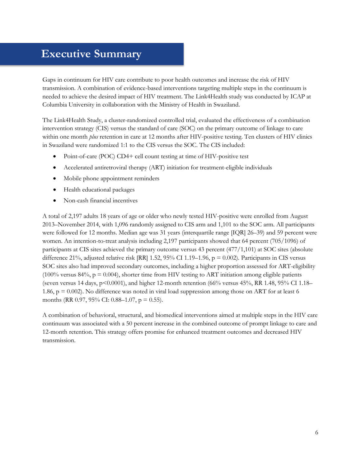## **Executive Summary**

Gaps in continuum for HIV care contribute to poor health outcomes and increase the risk of HIV transmission. A combination of evidence-based interventions targeting multiple steps in the continuum is needed to achieve the desired impact of HIV treatment. The Link4Health study was conducted by ICAP at Columbia University in collaboration with the Ministry of Health in Swaziland.

The Link4Health Study, a cluster-randomized controlled trial, evaluated the effectiveness of a combination intervention strategy (CIS) versus the standard of care (SOC) on the primary outcome of linkage to care within one month *plus* retention in care at 12 months after HIV-positive testing. Ten clusters of HIV clinics in Swaziland were randomized 1:1 to the CIS versus the SOC. The CIS included:

- Point-of-care (POC) CD4+ cell count testing at time of HIV-positive test
- Accelerated antiretroviral therapy (ART) initiation for treatment-eligible individuals
- Mobile phone appointment reminders
- Health educational packages
- Non-cash financial incentives

A total of 2,197 adults 18 years of age or older who newly tested HIV-positive were enrolled from August 2013–November 2014, with 1,096 randomly assigned to CIS arm and 1,101 to the SOC arm. All participants were followed for 12 months. Median age was 31 years (interquartile range [IQR] 26–39) and 59 percent were women. An intention-to-treat analysis including 2,197 participants showed that 64 percent (705/1096) of participants at CIS sites achieved the primary outcome versus 43 percent (477/1,101) at SOC sites (absolute difference 21%, adjusted relative risk [RR] 1.52, 95% CI 1.19–1.96,  $p = 0.002$ ). Participants in CIS versus SOC sites also had improved secondary outcomes, including a higher proportion assessed for ART-eligibility (100% versus 84%,  $p = 0.004$ ), shorter time from HIV testing to ART initiation among eligible patients (seven versus 14 days,  $p<0.0001$ ), and higher 12-month retention (66% versus 45%, RR 1.48, 95% CI 1.18– 1.86,  $p = 0.002$ ). No difference was noted in viral load suppression among those on ART for at least 6 months (RR 0.97, 95% CI: 0.88–1.07,  $p = 0.55$ ).

A combination of behavioral, structural, and biomedical interventions aimed at multiple steps in the HIV care continuum was associated with a 50 percent increase in the combined outcome of prompt linkage to care and 12-month retention. This strategy offers promise for enhanced treatment outcomes and decreased HIV transmission.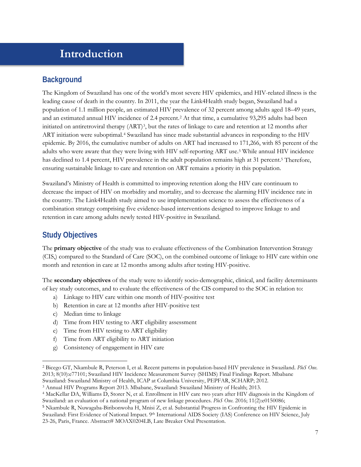## **Introduction**

#### <span id="page-6-0"></span>**Background**

The Kingdom of Swaziland has one of the world's most severe HIV epidemics, and HIV-related illness is the leading cause of death in the country. In 2011, the year the Link4Health study began, Swaziland had a population of 1.1 million people, an estimated HIV prevalence of 32 percent among adults aged 18–49 years, and an estimated annual HIV incidence of 2.4 percent.[2](#page-6-2) At that time, a cumulative 93,295 adults had been initiated on antiretroviral therapy (ART)[3](#page-6-3), but the rates of linkage to care and retention at 12 months after ART initiation were suboptimal.[4](#page-6-4) Swaziland has since made substantial advances in responding to the HIV epidemic. By 2016, the cumulative number of adults on ART had increased to 171,266, with 85 percent of the adults who were aware that they were living with HIV self-reporting ART use.[5](#page-6-5) While annual HIV incidence has declined to 1.4 percent, HIV prevalence in the adult population remains high at 31 percent.<sup>5</sup> Therefore, ensuring sustainable linkage to care and retention on ART remains a priority in this population.

Swaziland's Ministry of Health is committed to improving retention along the HIV care continuum to decrease the impact of HIV on morbidity and mortality, and to decrease the alarming HIV incidence rate in the country. The Link4Health study aimed to use implementation science to assess the effectiveness of a combination strategy comprising five evidence-based interventions designed to improve linkage to and retention in care among adults newly tested HIV-positive in Swaziland.

### <span id="page-6-1"></span>**Study Objectives**

l

The **primary objective** of the study was to evaluate effectiveness of the Combination Intervention Strategy (CIS,) compared to the Standard of Care (SOC), on the combined outcome of linkage to HIV care within one month and retention in care at 12 months among adults after testing HIV-positive.

The **secondary objectives** of the study were to identify socio-demographic, clinical, and facility determinants of key study outcomes, and to evaluate the effectiveness of the CIS compared to the SOC in relation to:

- a) Linkage to HIV care within one month of HIV-positive test
- b) Retention in care at 12 months after HIV-positive test
- c) Median time to linkage
- d) Time from HIV testing to ART eligibility assessment
- e) Time from HIV testing to ART eligibility
- f) Time from ART eligibility to ART initiation
- g) Consistency of engagement in HIV care

Swaziland: an evaluation of a national program of new linkage procedures. *PloS One.* 2016; 11(2):e0150086;

<span id="page-6-2"></span><sup>2</sup> Bicego GT, Nkambule R, Peterson I, et al. Recent patterns in population-based HIV prevalence in Swaziland. *PloS One.* 2013; 8(10):e77101; Swaziland HIV Incidence Measurement Survey (SHIMS) Final Findings Report. Mbabane Swaziland: Swaziland Ministry of Health, ICAP at Columbia University, PEPFAR, SCHARP; 2012.

<sup>3</sup> Annual HIV Programs Report 2013. Mbabane, Swaziland: Swaziland Ministry of Health; 2013.

<span id="page-6-4"></span><span id="page-6-3"></span><sup>4</sup> MacKellar DA, Williams D, Storer N, et al. Enrollment in HIV care two years after HIV diagnosis in the Kingdom of

<span id="page-6-5"></span><sup>5</sup> Nkambule R, Nuwagaba-Biribonwoha H, Mnisi Z, et al. Substantial Progress in Confronting the HIV Epidemic in Swaziland: First Evidence of National Impact. 9<sup>th</sup> International AIDS Society (IAS) Conference on HIV Science, July 23-26, Paris, France. Abstract# MOAX0204LB, Late Breaker Oral Presentation.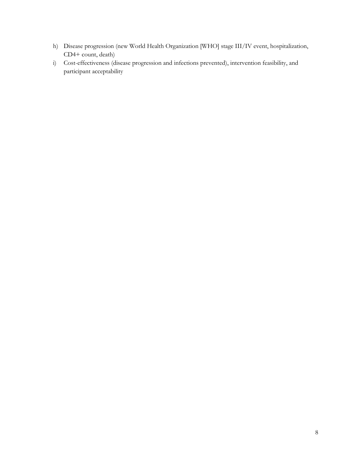- h) Disease progression (new World Health Organization [WHO] stage III/IV event, hospitalization, CD4+ count, death)
- i) Cost-effectiveness (disease progression and infections prevented), intervention feasibility, and participant acceptability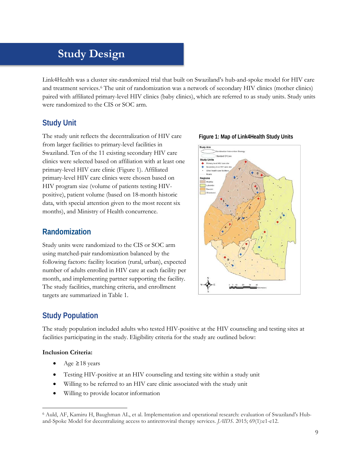## **Study Design**

Link4Health was a cluster site-randomized trial that built on Swaziland's hub-and-spoke model for HIV care and treatment services.[6](#page-8-3) The unit of randomization was a network of secondary HIV clinics (mother clinics) paired with affiliated primary-level HIV clinics (baby clinics), which are referred to as study units. Study units were randomized to the CIS or SOC arm.

#### <span id="page-8-0"></span>**Study Unit**

The study unit reflects the decentralization of HIV care from larger facilities to primary-level facilities in Swaziland. Ten of the 11 existing secondary HIV care clinics were selected based on affiliation with at least one primary-level HIV care clinic (Figure 1). Affiliated primary-level HIV care clinics were chosen based on HIV program size (volume of patients testing HIVpositive), patient volume (based on 18-month historic data, with special attention given to the most recent six months), and Ministry of Health concurrence.

#### <span id="page-8-1"></span>**Randomization**

Study units were randomized to the CIS or SOC arm using matched-pair randomization balanced by the following factors: facility location (rural, urban), expected number of adults enrolled in HIV care at each facility per month, and implementing partner supporting the facility. The study facilities, matching criteria, and enrollment targets are summarized in Table 1.

#### **Figure 1: Map of Link4Health Study Units**



#### <span id="page-8-2"></span>**Study Population**

The study population included adults who tested HIV-positive at the HIV counseling and testing sites at facilities participating in the study. Eligibility criteria for the study are outlined below:

#### **Inclusion Criteria:**

 $\overline{\phantom{a}}$ 

- Age  $\geq$  18 years
- Testing HIV-positive at an HIV counseling and testing site within a study unit
- Willing to be referred to an HIV care clinic associated with the study unit
- Willing to provide locator information

<span id="page-8-3"></span><sup>6</sup> Auld, AF, Kamiru H, Baughman AL, et al. Implementation and operational research: evaluation of Swaziland's Huband-Spoke Model for decentralizing access to antiretroviral therapy services. *JAIDS.* 2015; 69(1):e1-e12.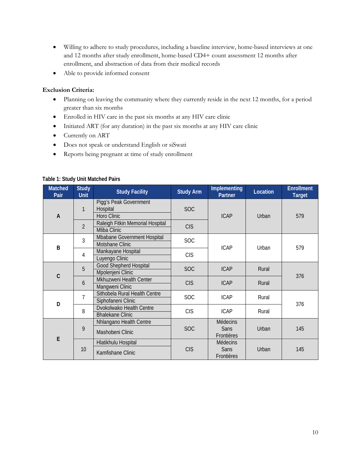- Willing to adhere to study procedures, including a baseline interview, home-based interviews at one and 12 months after study enrollment, home-based CD4+ count assessment 12 months after enrollment, and abstraction of data from their medical records
- Able to provide informed consent

#### **Exclusion Criteria:**

- Planning on leaving the community where they currently reside in the next 12 months, for a period greater than six months
- Enrolled in HIV care in the past six months at any HIV care clinic
- Initiated ART (for any duration) in the past six months at any HIV care clinic
- Currently on ART
- Does not speak or understand English or siSwati
- Reports being pregnant at time of study enrollment

| <b>Matched</b><br>Pair | <b>Study</b><br><b>Unit</b> | <b>Study Facility</b>                                           | <b>Study Arm</b> | Implementing<br>Partner                      | <b>Location</b> | <b>Enrollment</b><br><b>Target</b> |
|------------------------|-----------------------------|-----------------------------------------------------------------|------------------|----------------------------------------------|-----------------|------------------------------------|
|                        | 1                           | Pigg's Peak Government<br>Hospital                              | <b>SOC</b>       |                                              |                 |                                    |
| $\overline{A}$         | $\overline{2}$              | Horo Clinic<br>Raleigh Fitkin Memorial Hospital<br>Mliba Clinic | <b>CIS</b>       | <b>ICAP</b>                                  | Urban           | 579                                |
| B                      | 3                           | Mbabane Government Hospital<br>Motshane Clinic                  | <b>SOC</b>       | <b>ICAP</b>                                  | Urban           | 579                                |
|                        | 4                           | Mankayane Hospital<br>Luyengo Clinic                            | <b>CIS</b>       |                                              |                 |                                    |
| $\mathsf{C}$           | 5                           | <b>Good Shepherd Hospital</b><br>Mpolenjeni Clinic              | <b>SOC</b>       | <b>ICAP</b>                                  | Rural           | 376                                |
|                        | 6                           | Mkhuzweni Health Center<br>Mangweni Clinic                      | <b>CIS</b>       | <b>ICAP</b>                                  | Rural           |                                    |
| D                      | 7                           | Sithobela Rural Health Centre<br>Siphofaneni Clinic             | <b>SOC</b>       | <b>ICAP</b>                                  | Rural           | 376                                |
|                        | 8                           | Dvokolwako Health Centre<br><b>Bhalekane Clinic</b>             | <b>CIS</b>       | <b>ICAP</b>                                  | Rural           |                                    |
| E                      | 9                           | Nhlangano Health Centre<br>Mashobeni Clinic                     | <b>SOC</b>       | <b>Médecins</b><br>Sans<br>Frontières        | Urban           | 145                                |
|                        | 10                          | Hlatikhulu Hospital<br>Kamfishane Clinic                        | <b>CIS</b>       | <b>Médecins</b><br><b>Sans</b><br>Frontières | Urban           | 145                                |

#### **Table 1: Study Unit Matched Pairs**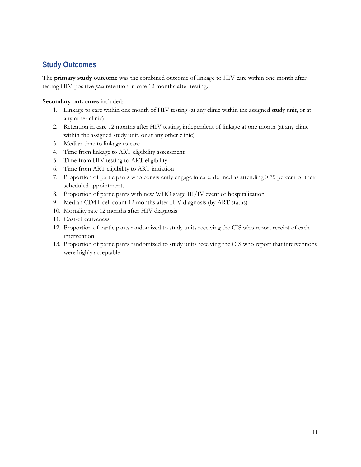### <span id="page-10-0"></span>**Study Outcomes**

The **primary study outcome** was the combined outcome of linkage to HIV care within one month after testing HIV-positive *plus* retention in care 12 months after testing.

#### **Secondary outcomes** included:

- 1. Linkage to care within one month of HIV testing (at any clinic within the assigned study unit, or at any other clinic)
- 2. Retention in care 12 months after HIV testing, independent of linkage at one month (at any clinic within the assigned study unit, or at any other clinic)
- 3. Median time to linkage to care
- 4. Time from linkage to ART eligibility assessment
- 5. Time from HIV testing to ART eligibility
- 6. Time from ART eligibility to ART initiation
- 7. Proportion of participants who consistently engage in care, defined as attending >75 percent of their scheduled appointments
- 8. Proportion of participants with new WHO stage III/IV event or hospitalization
- 9. Median CD4+ cell count 12 months after HIV diagnosis (by ART status)
- 10. Mortality rate 12 months after HIV diagnosis
- 11. Cost-effectiveness
- 12. Proportion of participants randomized to study units receiving the CIS who report receipt of each intervention
- 13. Proportion of participants randomized to study units receiving the CIS who report that interventions were highly acceptable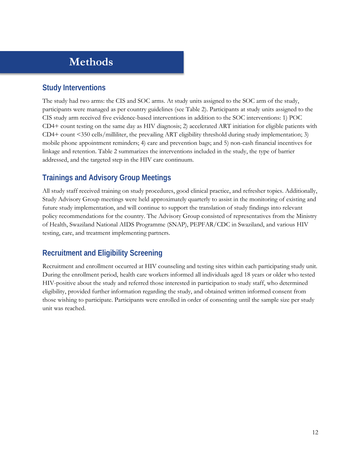# **Methods**

#### <span id="page-11-0"></span>**Study Interventions**

The study had two arms: the CIS and SOC arms. At study units assigned to the SOC arm of the study, participants were managed as per country guidelines (see Table 2). Participants at study units assigned to the CIS study arm received five evidence-based interventions in addition to the SOC interventions: 1) POC CD4+ count testing on the same day as HIV diagnosis; 2) accelerated ART initiation for eligible patients with CD4+ count <350 cells/milliliter, the prevailing ART eligibility threshold during study implementation; 3) mobile phone appointment reminders; 4) care and prevention bags; and 5) non-cash financial incentives for linkage and retention. Table 2 summarizes the interventions included in the study, the type of barrier addressed, and the targeted step in the HIV care continuum.

### <span id="page-11-1"></span>**Trainings and Advisory Group Meetings**

All study staff received training on study procedures, good clinical practice, and refresher topics. Additionally, Study Advisory Group meetings were held approximately quarterly to assist in the monitoring of existing and future study implementation, and will continue to support the translation of study findings into relevant policy recommendations for the country. The Advisory Group consisted of representatives from the Ministry of Health, Swaziland National AIDS Programme (SNAP), PEPFAR/CDC in Swaziland, and various HIV testing, care, and treatment implementing partners.

### <span id="page-11-2"></span>**Recruitment and Eligibility Screening**

Recruitment and enrollment occurred at HIV counseling and testing sites within each participating study unit. During the enrollment period, health care workers informed all individuals aged 18 years or older who tested HIV-positive about the study and referred those interested in participation to study staff, who determined eligibility, provided further information regarding the study, and obtained written informed consent from those wishing to participate. Participants were enrolled in order of consenting until the sample size per study unit was reached.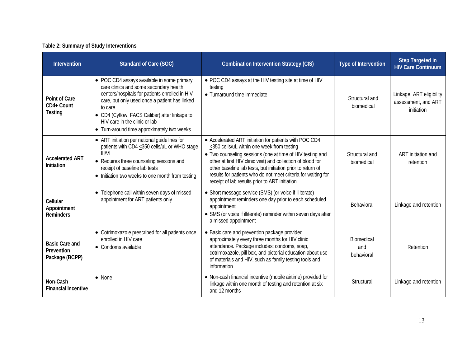#### **Table 2: Summary of Study Interventions**

| Intervention                                          | <b>Standard of Care (SOC)</b>                                                                                                                                                                                                                                                                                                      | <b>Combination Intervention Strategy (CIS)</b>                                                                                                                                                                                                                                                                                                                                                                            | <b>Type of Intervention</b>            | <b>Step Targeted in</b><br><b>HIV Care Continuum</b>          |
|-------------------------------------------------------|------------------------------------------------------------------------------------------------------------------------------------------------------------------------------------------------------------------------------------------------------------------------------------------------------------------------------------|---------------------------------------------------------------------------------------------------------------------------------------------------------------------------------------------------------------------------------------------------------------------------------------------------------------------------------------------------------------------------------------------------------------------------|----------------------------------------|---------------------------------------------------------------|
| Point of Care<br>CD4+ Count<br>Testing                | • POC CD4 assays available in some primary<br>care clinics and some secondary health<br>centers/hospitals for patients enrolled in HIV<br>care, but only used once a patient has linked<br>to care<br>• CD4 (Cyflow, FACS Caliber) after linkage to<br>HIV care in the clinic or lab<br>• Turn-around time approximately two weeks | • POC CD4 assays at the HIV testing site at time of HIV<br>testing<br>• Turnaround time immediate                                                                                                                                                                                                                                                                                                                         | Structural and<br>biomedical           | Linkage, ART eligibility<br>assessment, and ART<br>initiation |
| <b>Accelerated ART</b><br>Initiation                  | • ART initiation per national guidelines for<br>patients with CD4 <350 cells/uL or WHO stage<br>III/VI<br>• Requires three counseling sessions and<br>receipt of baseline lab tests<br>• Initiation two weeks to one month from testing                                                                                            | • Accelerated ART initiation for patients with POC CD4<br>$\leq$ 350 cells/uL within one week from testing<br>• Two counseling sessions (one at time of HIV testing and<br>other at first HIV clinic visit) and collection of blood for<br>other baseline lab tests, but initiation prior to return of<br>results for patients who do not meet criteria for waiting for<br>receipt of lab results prior to ART initiation | Structural and<br>biomedical           | ART initiation and<br>retention                               |
| Cellular<br>Appointment<br>Reminders                  | • Telephone call within seven days of missed<br>appointment for ART patients only                                                                                                                                                                                                                                                  | • Short message service (SMS) (or voice if illiterate)<br>appointment reminders one day prior to each scheduled<br>appointment<br>• SMS (or voice if illiterate) reminder within seven days after<br>a missed appointment                                                                                                                                                                                                 | Behavioral                             | Linkage and retention                                         |
| <b>Basic Care and</b><br>Prevention<br>Package (BCPP) | • Cotrimoxazole prescribed for all patients once<br>enrolled in HIV care<br>• Condoms available                                                                                                                                                                                                                                    | • Basic care and prevention package provided<br>approximately every three months for HIV clinic<br>attendance. Package includes: condoms, soap,<br>cotrimoxazole, pill box, and pictorial education about use<br>of materials and HIV, such as family testing tools and<br>information                                                                                                                                    | <b>Biomedical</b><br>and<br>behavioral | Retention                                                     |
| Non-Cash<br><b>Financial Incentive</b>                | • None                                                                                                                                                                                                                                                                                                                             | • Non-cash financial incentive (mobile airtime) provided for<br>linkage within one month of testing and retention at six<br>and 12 months                                                                                                                                                                                                                                                                                 | Structural                             | Linkage and retention                                         |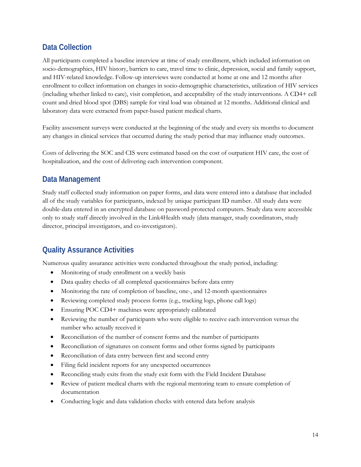### <span id="page-13-0"></span>**Data Collection**

All participants completed a baseline interview at time of study enrollment, which included information on socio-demographics, HIV history, barriers to care, travel time to clinic, depression, social and family support, and HIV-related knowledge. Follow-up interviews were conducted at home at one and 12 months after enrollment to collect information on changes in socio-demographic characteristics, utilization of HIV services (including whether linked to care), visit completion, and acceptability of the study interventions. A CD4+ cell count and dried blood spot (DBS) sample for viral load was obtained at 12 months. Additional clinical and laboratory data were extracted from paper-based patient medical charts.

Facility assessment surveys were conducted at the beginning of the study and every six months to document any changes in clinical services that occurred during the study period that may influence study outcomes.

Costs of delivering the SOC and CIS were estimated based on the cost of outpatient HIV care, the cost of hospitalization, and the cost of delivering each intervention component.

#### <span id="page-13-1"></span>**Data Management**

Study staff collected study information on paper forms, and data were entered into a database that included all of the study variables for participants, indexed by unique participant ID number. All study data were double-data entered in an encrypted database on password-protected computers. Study data were accessible only to study staff directly involved in the Link4Health study (data manager, study coordinators, study director, principal investigators, and co-investigators).

### <span id="page-13-2"></span>**Quality Assurance Activities**

Numerous quality assurance activities were conducted throughout the study period, including:

- Monitoring of study enrollment on a weekly basis
- Data quality checks of all completed questionnaires before data entry
- Monitoring the rate of completion of baseline, one-, and 12-month questionnaires
- Reviewing completed study process forms (e.g., tracking logs, phone call logs)
- Ensuring POC CD4+ machines were appropriately calibrated
- Reviewing the number of participants who were eligible to receive each intervention versus the number who actually received it
- Reconciliation of the number of consent forms and the number of participants
- Reconciliation of signatures on consent forms and other forms signed by participants
- Reconciliation of data entry between first and second entry
- Filing field incident reports for any unexpected occurrences
- Reconciling study exits from the study exit form with the Field Incident Database
- Review of patient medical charts with the regional mentoring team to ensure completion of documentation
- Conducting logic and data validation checks with entered data before analysis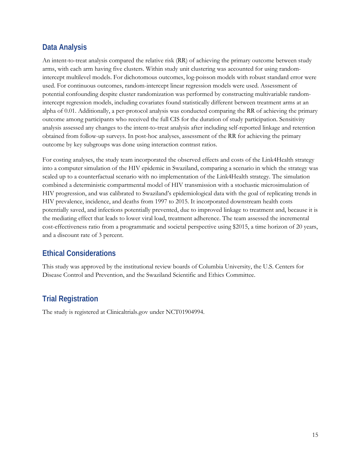#### <span id="page-14-0"></span>**Data Analysis**

An intent-to-treat analysis compared the relative risk (RR) of achieving the primary outcome between study arms, with each arm having five clusters. Within study unit clustering was accounted for using randomintercept multilevel models. For dichotomous outcomes, log-poisson models with robust standard error were used. For continuous outcomes, random-intercept linear regression models were used. Assessment of potential confounding despite cluster randomization was performed by constructing multivariable randomintercept regression models, including covariates found statistically different between treatment arms at an alpha of 0.01. Additionally, a per-protocol analysis was conducted comparing the RR of achieving the primary outcome among participants who received the full CIS for the duration of study participation. Sensitivity analysis assessed any changes to the intent-to-treat analysis after including self-reported linkage and retention obtained from follow-up surveys. In post-hoc analyses, assessment of the RR for achieving the primary outcome by key subgroups was done using interaction contrast ratios.

For costing analyses, the study team incorporated the observed effects and costs of the Link4Health strategy into a computer simulation of the HIV epidemic in Swaziland, comparing a scenario in which the strategy was scaled up to a counterfactual scenario with no implementation of the Link4Health strategy. The simulation combined a deterministic compartmental model of HIV transmission with a stochastic microsimulation of HIV progression, and was calibrated to Swaziland's epidemiological data with the goal of replicating trends in HIV prevalence, incidence, and deaths from 1997 to 2015. It incorporated downstream health costs potentially saved, and infections potentially prevented, due to improved linkage to treatment and, because it is the mediating effect that leads to lower viral load, treatment adherence. The team assessed the incremental cost-effectiveness ratio from a programmatic and societal perspective using \$2015, a time horizon of 20 years, and a discount rate of 3 percent.

#### <span id="page-14-1"></span>**Ethical Considerations**

This study was approved by the institutional review boards of Columbia University, the U.S. Centers for Disease Control and Prevention, and the Swaziland Scientific and Ethics Committee.

### <span id="page-14-2"></span>**Trial Registration**

The study is registered at Clinicaltrials.gov under NCT01904994.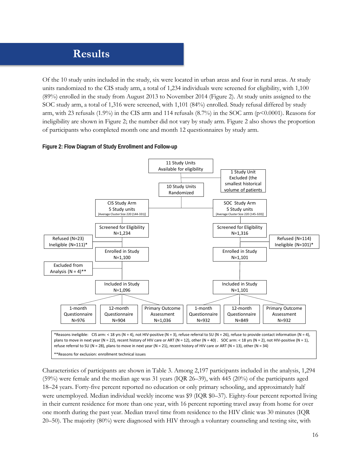## **Results**

Of the 10 study units included in the study, six were located in urban areas and four in rural areas. At study units randomized to the CIS study arm, a total of 1,234 individuals were screened for eligibility, with 1,100 (89%) enrolled in the study from August 2013 to November 2014 (Figure 2). At study units assigned to the SOC study arm, a total of 1,316 were screened, with 1,101 (84%) enrolled. Study refusal differed by study arm, with 23 refusals  $(1.9\%)$  in the CIS arm and 114 refusals  $(8.7\%)$  in the SOC arm (p<0.0001). Reasons for ineligibility are shown in Figure 2; the number did not vary by study arm. Figure 2 also shows the proportion of participants who completed month one and month 12 questionnaires by study arm.

#### **Figure 2: Flow Diagram of Study Enrollment and Follow-up**



Characteristics of participants are shown in Table 3. Among 2,197 participants included in the analysis, 1,294 (59%) were female and the median age was 31 years (IQR 26–39), with 445 (20%) of the participants aged 18–24 years. Forty-five percent reported no education or only primary schooling, and approximately half were unemployed. Median individual weekly income was \$9 (IQR \$0–37). Eighty-four percent reported living in their current residence for more than one year, with 16 percent reporting travel away from home for over one month during the past year. Median travel time from residence to the HIV clinic was 30 minutes (IQR 20–50). The majority (80%) were diagnosed with HIV through a voluntary counseling and testing site, with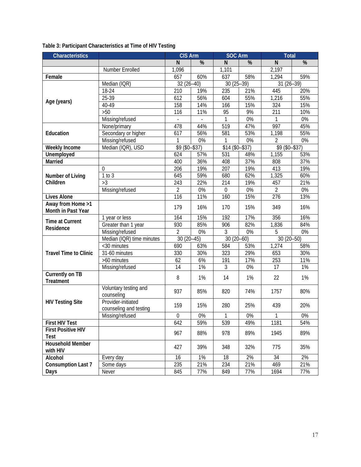|  | Table 3: Participant Characteristics at Time of HIV Testing |  |
|--|-------------------------------------------------------------|--|
|--|-------------------------------------------------------------|--|

| <b>Characteristics</b>                  |                                              | <b>CIS Arm</b>   |       | <b>SOC Arm</b>   |       | <b>Total</b>   |                 |
|-----------------------------------------|----------------------------------------------|------------------|-------|------------------|-------|----------------|-----------------|
|                                         |                                              | N                | %     | N                | %     | N              | $\overline{\%}$ |
|                                         | Number Enrolled                              | 1,096            |       | 1,101            |       | 2,197          |                 |
| Female                                  |                                              | 657              | 60%   | 637              | 58%   | 1,294          | 59%             |
|                                         | Median (IQR)                                 | $32(26-40)$      |       | $30(25-39)$      |       | $31(26-39)$    |                 |
|                                         | 18-24                                        | 210              | 19%   | 235              | 21%   | 445            | 20%             |
|                                         | 25-39                                        | 612              | 56%   | 604              | 55%   | 1,216          | 55%             |
| Age (years)                             | 40-49                                        | 158              | 14%   | 166              | 15%   | 324            | 15%             |
|                                         | >50                                          | 116              | 11%   | 95               | 9%    | 211            | 10%             |
|                                         | Missing/refused                              |                  |       | 1                | 0%    | 1              | $0\%$           |
|                                         | None/primary                                 | 478              | 44%   | 519              | 47%   | 997            | 45%             |
| Education                               | Secondary or higher                          | 617              | 56%   | 581              | 53%   | 1,198          | 55%             |
|                                         | Missing/refused                              | 1                | 0%    | 1                | 0%    | 2              | 0%              |
| <b>Weekly Income</b>                    | Median (IQR), USD                            | $$9($0-$37)$     |       | $$14($ \$0-\$37) |       | $$9($0-$37)$   |                 |
| Unemployed                              |                                              | 624              | 57%   | 531              | 48%   | 1,155          | 53%             |
| Married                                 |                                              | 400              | 36%   | 408              | 37%   | 808            | 37%             |
|                                         | $\Omega$                                     | 206              | 19%   | 207              | 19%   | 413            | 19%             |
| Number of Living                        | 1 to 3                                       | 645              | 59%   | 680              | 62%   | 1,325          | 60%             |
| Children                                | >3                                           | 243              | 22%   | 214              | 19%   | 457            | 21%             |
|                                         | Missing/refused                              | $\overline{2}$   | $0\%$ | $\mathbf 0$      | $0\%$ | $\overline{2}$ | $0\%$           |
| <b>Lives Alone</b>                      |                                              | 116              | 11%   | 160              | 15%   | 276            | 13%             |
| Away from Home >1<br>Month in Past Year |                                              | 179              | 16%   | 170              | 15%   | 349            | 16%             |
| <b>Time at Current</b>                  | 1 year or less                               | 164              | 15%   | 192              | 17%   | 356            | 16%             |
| Residence                               | Greater than 1 year                          | 930              | 85%   | 906              | 82%   | 1,836          | 84%             |
|                                         | Missing/refused                              | $\overline{2}$   | $0\%$ | $\mathfrak{Z}$   | 0%    | 5              | 0%              |
|                                         | Median (IQR) time minutes                    | $30(20-45)$      |       | $30(20-60)$      |       | $30(20 - 50)$  |                 |
|                                         | <30 minutes                                  | 690              | 63%   | 584              | 53%   | 1,274          | 58%             |
| <b>Travel Time to Clinic</b>            | $31-60$ minutes                              | 330              | 30%   | 323              | 29%   | 653            | 30%             |
|                                         | >60 minutes                                  | 62               | 6%    | 191              | 17%   | 253            | 11%             |
|                                         | Missing/refused                              | 14               | 1%    | 3                | $0\%$ | 17             | 1%              |
| Currently on TB<br><b>Treatment</b>     |                                              | 8                | 1%    | 14               | 1%    | 22             | 1%              |
|                                         | Voluntary testing and<br>counseling          | 937              | 85%   | 820              | 74%   | 1757           | 80%             |
| <b>HIV Testing Site</b>                 | Provider-initiated<br>counseling and testing | 159              | 15%   | 280              | 25%   | 439            | 20%             |
|                                         | Missing/refused                              | $\boldsymbol{0}$ | $0\%$ | $\overline{1}$   | $0\%$ | $\mathbf{1}$   | $0\%$           |
| <b>First HIV Test</b>                   |                                              | 642              | 59%   | 539              | 49%   | 1181           | 54%             |
| <b>First Positive HIV</b>               |                                              |                  |       |                  |       |                |                 |
| Test                                    |                                              | 967              | 88%   | 978              | 89%   | 1945           | 89%             |
| <b>Household Member</b><br>with HIV     |                                              | 427              | 39%   | 348              | 32%   | 775            | 35%             |
| Alcohol                                 | Every day                                    | 16               | 1%    | 18               | 2%    | 34             | 2%              |
| <b>Consumption Last 7</b>               | Some days                                    | 235              | 21%   | 234              | 21%   | 469            | 21%             |
| Days                                    | Never                                        | 845              | 77%   | 849              | 77%   | 1694           | 77%             |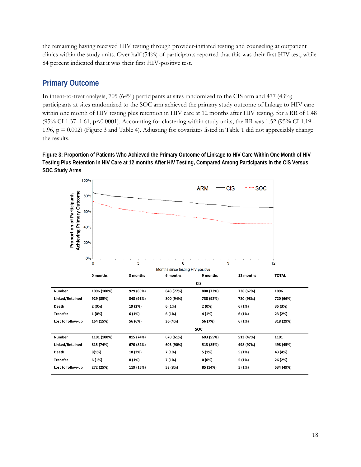the remaining having received HIV testing through provider-initiated testing and counseling at outpatient clinics within the study units. Over half (54%) of participants reported that this was their first HIV test, while 84 percent indicated that it was their first HIV-positive test.

### <span id="page-17-0"></span>**Primary Outcome**

In intent-to-treat analysis, 705 (64%) participants at sites randomized to the CIS arm and 477 (43%) participants at sites randomized to the SOC arm achieved the primary study outcome of linkage to HIV care within one month of HIV testing plus retention in HIV care at 12 months after HIV testing, for a RR of 1.48 (95% CI 1.37–1.61, p<0.0001). Accounting for clustering within study units, the RR was 1.52 (95% CI 1.19– 1.96, p = 0.002) (Figure 3 and Table 4). Adjusting for covariates listed in Table 1 did not appreciably change the results.

#### **Figure 3: Proportion of Patients Who Achieved the Primary Outcome of Linkage to HIV Care Within One Month of HIV Testing Plus Retention in HIV Care at 12 months After HIV Testing, Compared Among Participants in the CIS Versus SOC Study Arms**

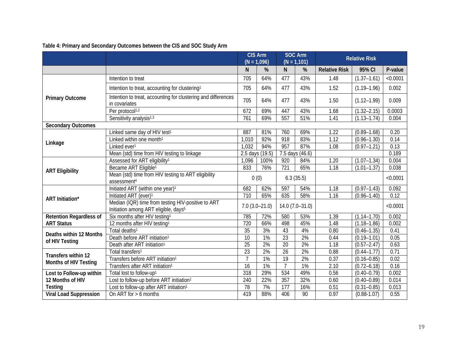|                                |                                                                                                        | <b>CIS Arm</b><br>$(N = 1.096)$        |      | <b>SOC Arm</b><br>$(N = 1, 101)$ |     | <b>Relative Risk</b>           |                 |          |
|--------------------------------|--------------------------------------------------------------------------------------------------------|----------------------------------------|------|----------------------------------|-----|--------------------------------|-----------------|----------|
|                                |                                                                                                        | %<br>N                                 |      | $\mathsf{N}$                     | %   | <b>Relative Risk</b><br>95% CI |                 | P-value  |
|                                | Intention to treat                                                                                     | 705                                    | 64%  | 477                              | 43% | 1.48                           | $(1.37 - 1.61)$ | < 0.0001 |
|                                |                                                                                                        |                                        |      |                                  |     |                                |                 |          |
|                                | Intention to treat, accounting for clustering <sup>1</sup>                                             | 705                                    | 64%  | 477                              | 43% | 1.52                           | $(1.19 - 1.96)$ | 0.002    |
| Primary Outcome                | Intention to treat, accounting for clustering and differences<br>in covariates                         | 705                                    | 64%  | 477                              | 43% | 1.50                           | $(1.12 - 1.99)$ | 0.009    |
|                                | Per protocol <sup>1,2</sup>                                                                            | 672                                    | 69%  | 447                              | 43% | 1.68                           | $(1.32 - 2.15)$ | 0.0003   |
|                                | Sensitivity analysis <sup>1,3</sup>                                                                    | 761                                    | 69%  | 557                              | 51% | 1.41                           | $(1.13 - 1.74)$ | 0.004    |
| <b>Secondary Outcomes</b>      |                                                                                                        |                                        |      |                                  |     |                                |                 |          |
|                                | Linked same day of HIV test <sup>1</sup>                                                               | 887                                    | 81%  | 760                              | 69% | 1.22                           | $(0.89 - 1.68)$ | 0.20     |
| Linkage                        | Linked within one month <sup>1</sup>                                                                   | 1,010                                  | 92%  | 918                              | 83% | 1.12                           | $(0.96 - 1.30)$ | 0.14     |
|                                | Linked ever <sup>1</sup>                                                                               | 1,032                                  | 94%  | 957                              | 87% | 1.08                           | $(0.97 - 1.21)$ | 0.13     |
|                                | Mean (std) time from HIV testing to linkage                                                            | 7.5 days (46.6)<br>2.5 days (19.5)     |      |                                  |     |                                | 0.189           |          |
|                                | Assessed for ART eligibility <sup>1</sup>                                                              | 1,096                                  | 100% | 920                              | 84% | 1.20                           | $(1.07 - 1.34)$ | 0.004    |
| <b>ART Eligibility</b>         | Became ART Eligible <sup>1</sup>                                                                       | 833                                    | 76%  | 721                              | 65% | 1.18                           | $(1.01 - 1.37)$ | 0.038    |
|                                | Mean (std) time from HIV testing to ART eligibility<br>assessment <sup>4</sup>                         | 0(0)                                   |      | 6.3(35.5)                        |     |                                |                 | < 0.0001 |
|                                | Initiated ART (within one year) <sup>1</sup>                                                           | 682                                    | 62%  | 597                              | 54% | 1.18                           | $(0.97 - 1.43)$ | 0.092    |
| <b>ART Initiation*</b>         | Initiated ART (ever) <sup>1</sup>                                                                      | 710                                    | 65%  | 635                              | 58% | 1.16                           | $(0.96 - 1.40)$ | 0.12     |
|                                | Median (IQR) time from testing HIV-positive to ART<br>Initiation among ART eligible, days <sup>5</sup> | $7.0(3.0-21.0)$<br>$14.0 (7.0 - 31.0)$ |      |                                  |     |                                | < 0.0001        |          |
| <b>Retention Regardless of</b> | Six months after HIV testing <sup>1</sup>                                                              | 785                                    | 72%  | 580                              | 53% | 1.39                           | $(1.14 - 1.70)$ | 0.002    |
| <b>ART Status</b>              | 12 months after HIV testing <sup>1</sup>                                                               | 720                                    | 66%  | 498                              | 45% | 1.48                           | $(1.18 - 1.86)$ | 0.002    |
| Deaths within 12 Months        | Total deaths <sup>1</sup>                                                                              | 35                                     | 3%   | 43                               | 4%  | 0.80                           | $(0.46 - 1.35)$ | 0.41     |
| of HIV Testing                 | Death before ART initiation <sup>1</sup>                                                               | 10                                     | 1%   | 23                               | 2%  | 0.44                           | $(0.19 - 1.01)$ | 0.05     |
|                                | Death after ART initiation <sup>1</sup>                                                                | $\overline{25}$                        | 2%   | $\overline{20}$                  | 2%  | 1.18                           | $(0.57 - 2.47)$ | 0.63     |
| Transfers within 12            | Total transfers <sup>1</sup>                                                                           | 23                                     | 2%   | 26                               | 2%  | 0.88                           | $(0.44 - 1.77)$ | 0.71     |
| Months of HIV Testing          | Transfers before ART initiation <sup>1</sup>                                                           | $\overline{7}$                         | 1%   | 19                               | 2%  | 0.37                           | $(0.16 - 0.85)$ | 0.02     |
|                                | Transfers after ART initiation <sup>1</sup>                                                            | 16                                     | 1%   | $\overline{7}$                   | 1%  | 2.10                           | $(0.72 - 6.18)$ | 0.16     |
| Lost to Follow-up within       | Total lost to follow-up1                                                                               | 318                                    | 29%  | 534                              | 49% | 0.56                           | $(0.40 - 0.79)$ | 0.002    |
| 12 Months of HIV               | Lost to follow-up before ART initiation <sup>1</sup>                                                   | 240                                    | 22%  | 357                              | 32% | 0.60                           | $(0.40 - 0.89)$ | 0.014    |
| <b>Testing</b>                 | Lost to follow-up after ART initiation <sup>1</sup>                                                    | 78                                     | 7%   | 177                              | 16% | 0.51                           | $(0.31 - 0.85)$ | 0.013    |
| Viral Load Suppression         | On ART for $> 6$ months                                                                                | 419                                    | 88%  | 406                              | 90  | 0.97                           | $(0.88 - 1.07)$ | 0.55     |

#### **Table 4: Primary and Secondary Outcomes between the CIS and SOC Study Arm**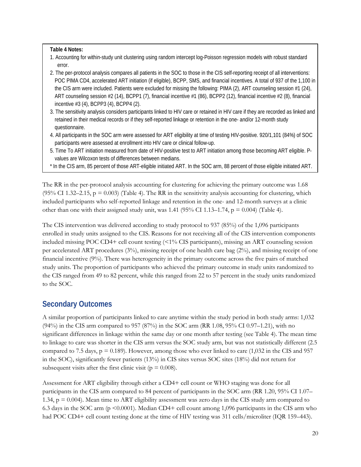#### **Table 4 Notes:**

- 1. Accounting for within-study unit clustering using random intercept log-Poisson regression models with robust standard error.
- 2. The per-protocol analysis compares all patients in the SOC to those in the CIS self-reporting receipt of all interventions: POC PIMA CD4, accelerated ART initiation (if eligible), BCPP, SMS, and financial incentives. A total of 937 of the 1,100 in the CIS arm were included. Patients were excluded for missing the following: PIMA (2), ART counseling session #1 (24), ART counseling session #2 (14), BCPP1 (7), financial incentive #1 (86), BCPP2 (12), financial incentive #2 (8), financial incentive #3 (4), BCPP3 (4), BCPP4 (2).
- 3. The sensitivity analysis considers participants linked to HIV care or retained in HIV care if they are recorded as linked and retained in their medical records or if they self-reported linkage or retention in the one- and/or 12-month study questionnaire.
- 4. All participants in the SOC arm were assessed for ART eligibility at time of testing HIV-positive. 920/1,101 (84%) of SOC participants were assessed at enrollment into HIV care or clinical follow-up.
- 5. Time To ART initiation measured from date of HIV-positive test to ART initiation among those becoming ART eligible. Pvalues are Wilcoxon tests of differences between medians.
- \* In the CIS arm, 85 percent of those ART-eligible initiated ART. In the SOC arm, 88 percent of those eligible initiated ART.

The RR in the per-protocol analysis accounting for clustering for achieving the primary outcome was 1.68 (95% CI 1.32–2.15,  $p = 0.003$ ) (Table 4). The RR in the sensitivity analysis accounting for clustering, which included participants who self-reported linkage and retention in the one- and 12-month surveys at a clinic other than one with their assigned study unit, was 1.41 (95% CI 1.13–1.74,  $p = 0.004$ ) (Table 4).

The CIS intervention was delivered according to study protocol to 937 (85%) of the 1,096 participants enrolled in study units assigned to the CIS. Reasons for not receiving all of the CIS intervention components included missing POC CD4+ cell count testing (<1% CIS participants), missing an ART counseling session per accelerated ART procedures (3%), missing receipt of one health care bag (2%), and missing receipt of one financial incentive (9%). There was heterogeneity in the primary outcome across the five pairs of matched study units. The proportion of participants who achieved the primary outcome in study units randomized to the CIS ranged from 49 to 82 percent, while this ranged from 22 to 57 percent in the study units randomized to the SOC.

#### <span id="page-19-0"></span>**Secondary Outcomes**

A similar proportion of participants linked to care anytime within the study period in both study arms: 1,032  $(94%)$  in the CIS arm compared to 957  $(87%)$  in the SOC arm (RR 1.08, 95% CI 0.97–1.21), with no significant differences in linkage within the same day or one month after testing (see Table 4). The mean time to linkage to care was shorter in the CIS arm versus the SOC study arm, but was not statistically different (2.5 compared to 7.5 days,  $p = 0.189$ ). However, among those who ever linked to care (1,032 in the CIS and 957 in the SOC), significantly fewer patients (13%) in CIS sites versus SOC sites (18%) did not return for subsequent visits after the first clinic visit ( $p = 0.008$ ).

Assessment for ART eligibility through either a CD4+ cell count or WHO staging was done for all participants in the CIS arm compared to 84 percent of participants in the SOC arm (RR 1.20, 95% CI 1.07– 1.34,  $p = 0.004$ ). Mean time to ART eligibility assessment was zero days in the CIS study arm compared to 6.3 days in the SOC arm (p <0.0001). Median CD4+ cell count among 1,096 participants in the CIS arm who had POC CD4+ cell count testing done at the time of HIV testing was 311 cells/microliter (IQR 159–443).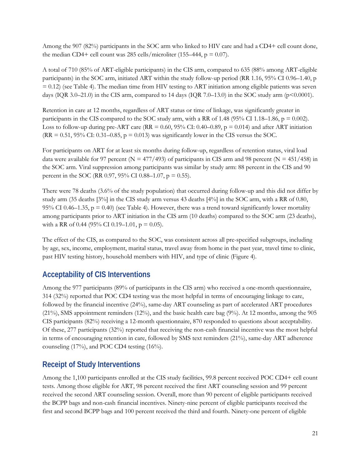Among the 907 (82%) participants in the SOC arm who linked to HIV care and had a CD4+ cell count done, the median CD4+ cell count was 285 cells/microliter (155–444,  $p = 0.07$ ).

A total of 710 (85% of ART-eligible participants) in the CIS arm, compared to 635 (88% among ART-eligible participants) in the SOC arm, initiated ART within the study follow-up period (RR 1.16, 95% CI 0.96–1.40, p  $= 0.12$ ) (see Table 4). The median time from HIV testing to ART initiation among eligible patients was seven days (IQR 3.0–21.0) in the CIS arm, compared to 14 days (IQR 7.0–13.0) in the SOC study arm (p<0.0001).

Retention in care at 12 months, regardless of ART status or time of linkage, was significantly greater in participants in the CIS compared to the SOC study arm, with a RR of 1.48 (95% CI 1.18–1.86,  $p = 0.002$ ). Loss to follow-up during pre-ART care (RR =  $0.60$ , 95% CI: 0.40–0.89, p = 0.014) and after ART initiation  $(RR = 0.51, 95\% \text{ CI: } 0.31 - 0.85, p = 0.013$  was significantly lower in the CIS versus the SOC.

For participants on ART for at least six months during follow-up, regardless of retention status, viral load data were available for 97 percent ( $N = 477/493$ ) of participants in CIS arm and 98 percent ( $N = 451/458$ ) in the SOC arm. Viral suppression among participants was similar by study arm: 88 percent in the CIS and 90 percent in the SOC (RR 0.97, 95% CI 0.88–1.07,  $p = 0.55$ ).

There were 78 deaths (3.6% of the study population) that occurred during follow-up and this did not differ by study arm (35 deaths [3%] in the CIS study arm versus 43 deaths [4%] in the SOC arm, with a RR of 0.80, 95% CI 0.46–1.35,  $p = 0.40$ ) (see Table 4). However, there was a trend toward significantly lower mortality among participants prior to ART initiation in the CIS arm (10 deaths) compared to the SOC arm (23 deaths), with a RR of 0.44 (95% CI 0.19–1.01,  $p = 0.05$ ).

The effect of the CIS, as compared to the SOC, was consistent across all pre-specified subgroups, including by age, sex, income, employment, marital status, travel away from home in the past year, travel time to clinic, past HIV testing history, household members with HIV, and type of clinic (Figure 4).

### <span id="page-20-0"></span>**Acceptability of CIS Interventions**

Among the 977 participants (89% of participants in the CIS arm) who received a one-month questionnaire, 314 (32%) reported that POC CD4 testing was the most helpful in terms of encouraging linkage to care, followed by the financial incentive (24%), same-day ART counseling as part of accelerated ART procedures (21%), SMS appointment reminders (12%), and the basic health care bag (9%). At 12 months, among the 905 CIS participants (82%) receiving a 12-month questionnaire, 870 responded to questions about acceptability. Of these, 277 participants (32%) reported that receiving the non-cash financial incentive was the most helpful in terms of encouraging retention in care, followed by SMS text reminders (21%), same-day ART adherence counseling (17%), and POC CD4 testing (16%).

#### <span id="page-20-1"></span>**Receipt of Study Interventions**

Among the 1,100 participants enrolled at the CIS study facilities, 99.8 percent received POC CD4+ cell count tests. Among those eligible for ART, 98 percent received the first ART counseling session and 99 percent received the second ART counseling session. Overall, more than 90 percent of eligible participants received the BCPP bags and non-cash financial incentives. Ninety-nine percent of eligible participants received the first and second BCPP bags and 100 percent received the third and fourth. Ninety-one percent of eligible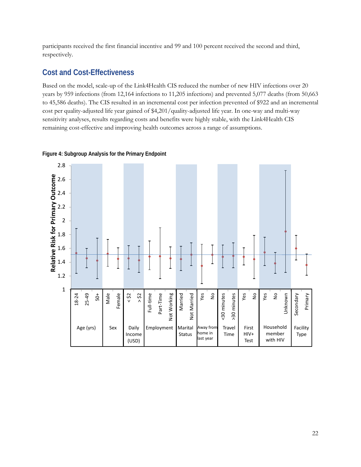participants received the first financial incentive and 99 and 100 percent received the second and third, respectively.

#### <span id="page-21-0"></span>**Cost and Cost-Effectiveness**

Based on the model, scale-up of the Link4Health CIS reduced the number of new HIV infections over 20 years by 959 infections (from 12,164 infections to 11,205 infections) and prevented 5,077 deaths (from 50,663 to 45,586 deaths). The CIS resulted in an incremental cost per infection prevented of \$922 and an incremental cost per quality-adjusted life year gained of \$4,201/quality-adjusted life year. In one-way and multi-way sensitivity analyses, results regarding costs and benefits were highly stable, with the Link4Health CIS remaining cost-effective and improving health outcomes across a range of assumptions.



**Figure 4: Subgroup Analysis for the Primary Endpoint**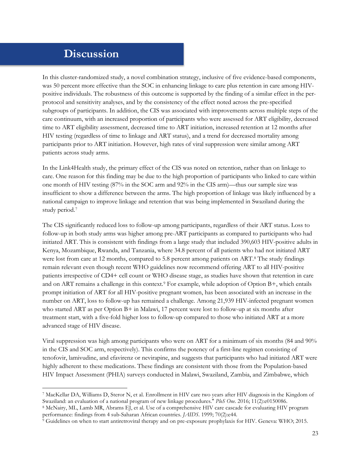### **Discussion**

 $\overline{\phantom{a}}$ 

In this cluster-randomized study, a novel combination strategy, inclusive of five evidence-based components, was 50 percent more effective than the SOC in enhancing linkage to care plus retention in care among HIVpositive individuals. The robustness of this outcome is supported by the finding of a similar effect in the perprotocol and sensitivity analyses, and by the consistency of the effect noted across the pre-specified subgroups of participants. In addition, the CIS was associated with improvements across multiple steps of the care continuum, with an increased proportion of participants who were assessed for ART eligibility, decreased time to ART eligibility assessment, decreased time to ART initiation, increased retention at 12 months after HIV testing (regardless of time to linkage and ART status), and a trend for decreased mortality among participants prior to ART initiation. However, high rates of viral suppression were similar among ART patients across study arms.

In the Link4Health study, the primary effect of the CIS was noted on retention, rather than on linkage to care. One reason for this finding may be due to the high proportion of participants who linked to care within one month of HIV testing (87% in the SOC arm and 92% in the CIS arm)—thus our sample size was insufficient to show a difference between the arms. The high proportion of linkage was likely influenced by a national campaign to improve linkage and retention that was being implemented in Swaziland during the study period.[7](#page-22-0)

The CIS significantly reduced loss to follow-up among participants, regardless of their ART status. Loss to follow-up in both study arms was higher among pre-ART participants as compared to participants who had initiated ART. This is consistent with findings from a large study that included 390,603 HIV-positive adults in Kenya, Mozambique, Rwanda, and Tanzania, where 34.8 percent of all patients who had not initiated ART were lost from care at 12 months, compared to 5.[8](#page-22-1) percent among patients on ART.<sup>8</sup> The study findings remain relevant even though recent WHO guidelines now recommend offering ART to all HIV-positive patients irrespective of CD4+ cell count or WHO disease stage, as studies have shown that retention in care and on ART remains a challenge in this context.<sup>[9](#page-22-2)</sup> For example, while adoption of Option B+, which entails prompt initiation of ART for all HIV-positive pregnant women, has been associated with an increase in the number on ART, loss to follow-up has remained a challenge. Among 21,939 HIV-infected pregnant women who started ART as per Option B+ in Malawi, 17 percent were lost to follow-up at six months after treatment start, with a five-fold higher loss to follow-up compared to those who initiated ART at a more advanced stage of HIV disease.

Viral suppression was high among participants who were on ART for a minimum of six months (84 and 90% in the CIS and SOC arm, respectively). This confirms the potency of a first-line regimen consisting of tenofovir, lamivudine, and efavirenz or nevirapine, and suggests that participants who had initiated ART were highly adherent to these medications. These findings are consistent with those from the Population-based HIV Impact Assessment (PHIA) surveys conducted in Malawi, Swaziland, Zambia, and Zimbabwe, which

<span id="page-22-0"></span><sup>7</sup> MacKellar DA, Williams D, Steror N, et al. Enrollment in HIV care two years after HIV diagnosis in the Kingdom of Swaziland: an evaluation of a national program of new linkage procedures." *PloS One.* 2016; 11(2):e0150086. <sup>8</sup> McNairy, ML, Lamb MR, Abrams EJ, et al. Use of a comprehensive HIV care cascade for evaluating HIV program

<span id="page-22-1"></span>performance: findings from 4 sub-Saharan African countries. *JAIDS.* 1999; 70(2):e44.

<span id="page-22-2"></span><sup>9</sup> Guidelines on when to start antiretroviral therapy and on pre-exposure prophylaxis for HIV. Geneva: WHO; 2015.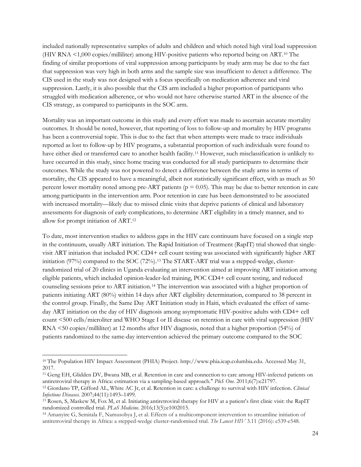included nationally representative samples of adults and children and which noted high viral load suppression (HIV RNA <1,000 copies/milliliter) among HIV-positive patients who reported being on ART.[10](#page-23-0) The finding of similar proportions of viral suppression among participants by study arm may be due to the fact that suppression was very high in both arms and the sample size was insufficient to detect a difference. The CIS used in the study was not designed with a focus specifically on medication adherence and viral suppression. Lastly, it is also possible that the CIS arm included a higher proportion of participants who struggled with medication adherence, or who would not have otherwise started ART in the absence of the CIS strategy, as compared to participants in the SOC arm.

Mortality was an important outcome in this study and every effort was made to ascertain accurate mortality outcomes. It should be noted, however, that reporting of loss to follow-up and mortality by HIV programs has been a controversial topic. This is due to the fact that when attempts were made to trace individuals reported as lost to follow-up by HIV programs, a substantial proportion of such individuals were found to have either died or transferred care to another health facility.[11](#page-23-1) However, such misclassification is unlikely to have occurred in this study, since home tracing was conducted for all study participants to determine their outcomes. While the study was not powered to detect a difference between the study arms in terms of mortality, the CIS appeared to have a meaningful, albeit not statistically significant effect, with as much as 50 percent lower mortality noted among pre-ART patients ( $p = 0.05$ ). This may be due to better retention in care among participants in the intervention arm. Poor retention in care has been demonstrated to be associated with increased mortality—likely due to missed clinic visits that deprive patients of clinical and laboratory assessments for diagnosis of early complications, to determine ART eligibility in a timely manner, and to allow for prompt initiation of ART.[12](#page-23-2) 

To date, most intervention studies to address gaps in the HIV care continuum have focused on a single step in the continuum, usually ART initiation. The Rapid Initiation of Treatment (RapIT) trial showed that singlevisit ART initiation that included POC CD4+ cell count testing was associated with significantly higher ART initiation (97%) compared to the SOC (72%)[.13](#page-23-3) The START-ART trial was a stepped-wedge, clusterrandomized trial of 20 clinics in Uganda evaluating an intervention aimed at improving ART initiation among eligible patients, which included opinion-leader-led training, POC CD4+ cell count testing, and reduced counseling sessions prior to ART initiation.[14](#page-23-4) The intervention was associated with a higher proportion of patients initiating ART (80%) within 14 days after ART eligibility determination, compared to 38 percent in the control group. Finally, the Same Day ART Initiation study in Haiti, which evaluated the effect of sameday ART initiation on the day of HIV diagnosis among asymptomatic HIV-positive adults with CD4+ cell count <500 cells/microliter and WHO Stage I or II disease on retention in care with viral suppression (HIV RNA <50 copies/milliliter) at 12 months after HIV diagnosis, noted that a higher proportion (54%) of patients randomized to the same-day intervention achieved the primary outcome compared to the SOC

 $\overline{\phantom{a}}$ 

<span id="page-23-0"></span><sup>10</sup> The Population HIV Impact Assessment (PHIA) Project. http://www.phia.icap.columbia.edu. Accessed May 31, 2017.

<span id="page-23-1"></span><sup>11</sup> Geng EH, Glidden DV, Bwana MB, et al. Retention in care and connection to care among HIV-infected patients on antiretroviral therapy in Africa: estimation via a sampling-based approach." *PloS One.* 2011;6(7):e21797.

<span id="page-23-2"></span><sup>12</sup> Giordano TP, Gifford AL, White AC Jr, et al. Retention in care: a challenge to survival with HIV infection. *Clinical Infectious Diseases.* 2007;44(11):1493–1499.

<span id="page-23-3"></span><sup>13</sup> Rosen, S, Maskew M, Fox M, et al. Initiating antiretroviral therapy for HIV at a patient's first clinic visit: the RapIT randomized controlled trial. *PLoS Medicine.* 2016;13(5):e1002015.

<span id="page-23-4"></span><sup>14</sup> Amanyire G, Semitala F, Namusobya J, et al. Effects of a multicomponent intervention to streamline initiation of antiretroviral therapy in Africa: a stepped-wedge cluster-randomised trial. *The Lancet HIV* 3.11 (2016): e539-e548.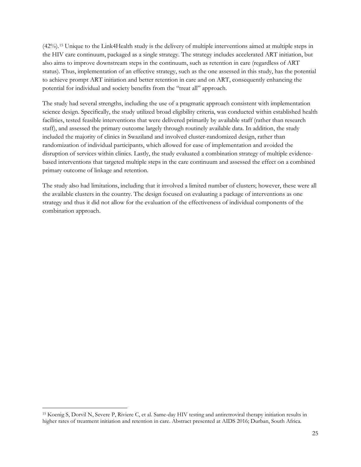(42%).[15](#page-24-0) Unique to the Link4Health study is the delivery of multiple interventions aimed at multiple steps in the HIV care continuum, packaged as a single strategy. The strategy includes accelerated ART initiation, but also aims to improve downstream steps in the continuum, such as retention in care (regardless of ART status). Thus, implementation of an effective strategy, such as the one assessed in this study, has the potential to achieve prompt ART initiation and better retention in care and on ART, consequently enhancing the potential for individual and society benefits from the "treat all" approach.

The study had several strengths, including the use of a pragmatic approach consistent with implementation science design. Specifically, the study utilized broad eligibility criteria, was conducted within established health facilities, tested feasible interventions that were delivered primarily by available staff (rather than research staff), and assessed the primary outcome largely through routinely available data. In addition, the study included the majority of clinics in Swaziland and involved cluster-randomized design, rather than randomization of individual participants, which allowed for ease of implementation and avoided the disruption of services within clinics. Lastly, the study evaluated a combination strategy of multiple evidencebased interventions that targeted multiple steps in the care continuum and assessed the effect on a combined primary outcome of linkage and retention.

The study also had limitations, including that it involved a limited number of clusters; however, these were all the available clusters in the country. The design focused on evaluating a package of interventions as one strategy and thus it did not allow for the evaluation of the effectiveness of individual components of the combination approach.

 $\overline{\phantom{a}}$ 

<span id="page-24-0"></span><sup>15</sup> Koenig S, Dorvil N, Severe P, Riviere C, et al. Same-day HIV testing and antiretroviral therapy initiation results in higher rates of treatment initiation and retention in care. Abstract presented at AIDS 2016; Durban, South Africa.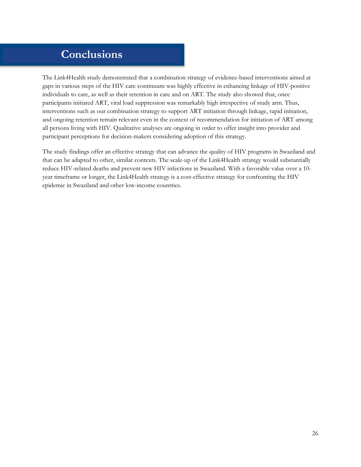# **Conclusions**

The Link4Health study demonstrated that a combination strategy of evidence-based interventions aimed at gaps in various steps of the HIV care continuum was highly effective in enhancing linkage of HIV-positive individuals to care, as well as their retention in care and on ART. The study also showed that, once participants initiated ART, viral load suppression was remarkably high irrespective of study arm. Thus, interventions such as our combination strategy to support ART initiation through linkage, rapid initiation, and ongoing retention remain relevant even in the context of recommendation for initiation of ART among all persons living with HIV. Qualitative analyses are ongoing in order to offer insight into provider and participant perceptions for decision-makers considering adoption of this strategy.

The study findings offer an effective strategy that can advance the quality of HIV programs in Swaziland and that can be adapted to other, similar contexts. The scale-up of the Link4Health strategy would substantially reduce HIV-related deaths and prevent new HIV infections in Swaziland. With a favorable value over a 10 year timeframe or longer, the Link4Health strategy is a cost-effective strategy for confronting the HIV epidemic in Swaziland and other low-income countries.